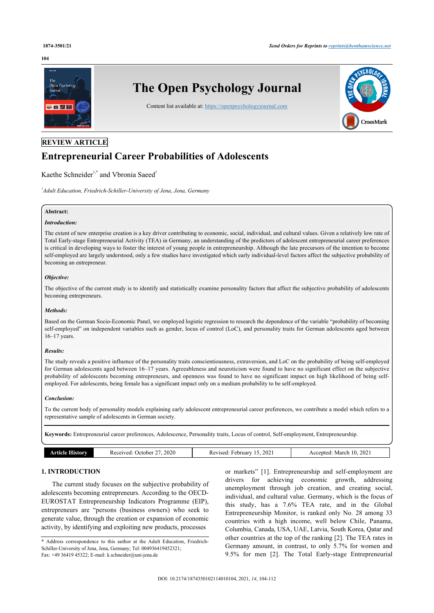#### **104**



# **REVIEW ARTICLE**

# **Entrepreneurial Career Probabilities of Adolescents**

Kaethe Schneider<sup>[1](#page-0-0),[\\*](#page-0-1)</sup> and Vbronia Saeed<sup>1</sup>

<span id="page-0-0"></span>*1 Adult Education, Friedrich-Schiller-University of Jena, Jena, Germany*

# **Abstract:**

#### *Introduction:*

The extent of new enterprise creation is a key driver contributing to economic, social, individual, and cultural values. Given a relatively low rate of Total Early-stage Entrepreneurial Activity (TEA) in Germany, an understanding of the predictors of adolescent entrepreneurial career preferences is critical in developing ways to foster the interest of young people in entrepreneurship. Although the late precursors of the intention to become self-employed are largely understood, only a few studies have investigated which early individual-level factors affect the subjective probability of becoming an entrepreneur.

# *Objective:*

The objective of the current study is to identify and statistically examine personality factors that affect the subjective probability of adolescents becoming entrepreneurs.

# *Methods:*

Based on the German Socio-Economic Panel, we employed logistic regression to research the dependence of the variable "probability of becoming self-employed" on independent variables such as gender, locus of control (LoC), and personality traits for German adolescents aged between 16–17 years.

#### *Results:*

The study reveals a positive influence of the personality traits conscientiousness, extraversion, and LoC on the probability of being self-employed for German adolescents aged between 16–17 years. Agreeableness and neuroticism were found to have no significant effect on the subjective probability of adolescents becoming entrepreneurs, and openness was found to have no significant impact on high likelihood of being selfemployed. For adolescents, being female has a significant impact only on a medium probability to be self-employed.

#### *Conclusion:*

To the current body of personality models explaining early adolescent entrepreneurial career preferences, we contribute a model which refers to a representative sample of adolescents in German society.

**Keywords:** Entrepreneurial career preferences, Adolescence, Personality traits, Locus of control, Self-employment, Entrepreneurship.

| Received:<br>10.<br>February<br>. )ctober<br>March<br>Accented |                              |      |                 |      |
|----------------------------------------------------------------|------------------------------|------|-----------------|------|
|                                                                | <b>ALISLOTY</b><br>Article I | 2020 | 2021<br>Revised | 2021 |

# **1. INTRODUCTION**

The current study focuses on the subjective probability of adolescents becoming entrepreneurs. According to the OECD-EUROSTAT Entrepreneurship Indicators Programme (EIP), entrepreneurs are "persons (business owners) who seek to generate value, through the creation or expansion of economic activity, by identifying and exploiting new products, processes

<span id="page-0-1"></span>\* Address correspondence to this author at the Adult Education, Friedrich-Schiller-University of Jena, Jena, Germany; Tel: 004936419452321; Fax: +49 36419 45322; E-mail: [k.schneider@uni-jena.de](mailto:%20k.schneider@uni-jena.de)

or markets" [\[1\]](#page-7-0). Entrepreneurship and self-employment are drivers for achieving economic growth, addressing unemployment through job creation, and creating social, individual, and cultural value. Germany, which is the focus of this study, has a 7.6% TEA rate, and in the Global Entrepreneurship Monitor, is ranked only No. 28 among 33 countries with a high income, well below Chile, Panama, Columbia, Canada, USA, UAE, Latvia, South Korea, Qatar and other countries at the top of the ranking [[2](#page-7-1)]. The TEA rates in Germany amount, in contrast, to only 5.7% for women and 9.5% for men[[2](#page-7-1)]. The Total Early-stage Entrepreneurial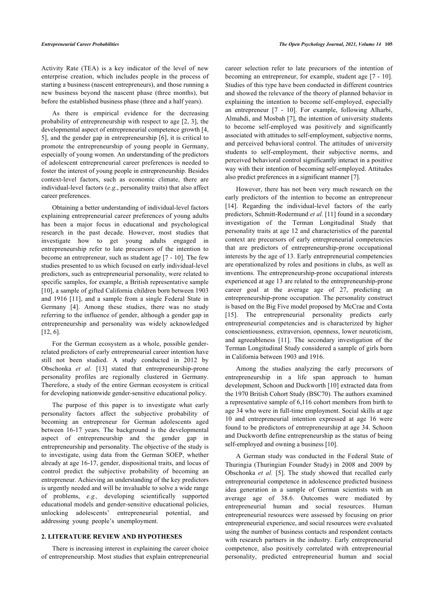Activity Rate (TEA) is a key indicator of the level of new enterprise creation, which includes people in the process of starting a business (nascent entrepreneurs), and those running a new business beyond the nascent phase (three months), but before the established business phase (three and a half years).

As there is empirical evidence for the decreasing probability of entrepreneurship with respect to age [\[2](#page-7-1), [3\]](#page-7-2), the developmental aspect of entrepreneurial competence growth [[4](#page-7-3), [5](#page-7-4)], and the gender gap in entrepreneurship [[6\]](#page-7-5), it is critical to promote the entrepreneurship of young people in Germany, especially of young women. An understanding of the predictors of adolescent entrepreneurial career preferences is needed to foster the interest of young people in entrepreneurship. Besides context-level factors, such as economic climate, there are individual-level factors (*e.g*., personality traits) that also affect career preferences.

Obtaining a better understanding of individual-level factors explaining entrepreneurial career preferences of young adults has been a major focus in educational and psychological research in the past decade. However, most studies that investigate how to get young adults engaged in entrepreneurship refer to late precursors of the intention to become an entrepreneur, such as student age [\[7](#page-7-6) - [10](#page-7-7)]. The few studies presented to us which focused on early individual-level predictors, such as entrepreneurial personality, were related to specific samples, for example, a British representative sample [[10\]](#page-7-7), a sample of gifted California children born between 1903 and 1916[[11\]](#page-8-0), and a sample from a single Federal State in Germany[[4](#page-7-3)]. Among these studies, there was no study referring to the influence of gender, although a gender gap in entrepreneurship and personality was widely acknowledged [[12,](#page-8-1) [6\]](#page-7-5).

For the German ecosystem as a whole, possible genderrelated predictors of early entrepreneurial career intention have still not been studied. A study conducted in 2012 by Obschonka *et al*.[[13](#page-8-2)] stated that entrepreneurship-prone personality profiles are regionally clustered in Germany. Therefore, a study of the entire German ecosystem is critical for developing nationwide gender-sensitive educational policy.

The purpose of this paper is to investigate what early personality factors affect the subjective probability of becoming an entrepreneur for German adolescents aged between 16-17 years. The background is the developmental aspect of entrepreneurship and the gender gap in entrepreneurship and personality. The objective of the study is to investigate, using data from the German SOEP, whether already at age 16-17, gender, dispositional traits, and locus of control predict the subjective probability of becoming an entrepreneur. Achieving an understanding of the key predictors is urgently needed and will be invaluable to solve a wide range of problems, *e.g.,* developing scientifically supported educational models and gender-sensitive educational policies, unlocking adolescents' entrepreneurial potential, and addressing young people's unemployment.

# **2. LITERATURE REVIEW AND HYPOTHESES**

There is increasing interest in explaining the career choice of entrepreneurship. Most studies that explain entrepreneurial

career selection refer to late precursors of the intention of becoming an entrepreneur, for example, student age [\[7](#page-7-6) - [10](#page-7-7)]. Studies of this type have been conducted in different countries and showed the relevance of the theory of planned behavior in explaining the intention to become self-employed, especially an entrepreneur [\[7](#page-7-6) - [10](#page-7-7)]. For example, following Alharbi, Almahdi, and Mosbah [[7\]](#page-7-6), the intention of university students to become self-employed was positively and significantly associated with attitudes to self-employment, subjective norms, and perceived behavioral control. The attitudes of university students to self-employment, their subjective norms, and perceived behavioral control significantly interact in a positive way with their intention of becoming self-employed. Attitudes also predict preferences in a significant manner [[7](#page-7-6)].

However, there has not been very much research on the early predictors of the intention to become an entrepreneur [[14](#page-8-3)]. Regarding the individual-level factors of the early predictors, Schmitt-Rodermund *et al.* [[11\]](#page-8-0) found in a secondary investigation of the Terman Longitudinal Study that personality traits at age 12 and characteristics of the parental context are precursors of early entrepreneurial competencies that are predictors of entrepreneurship-prone occupational interests by the age of 13. Early entrepreneurial competencies are operationalized by roles and positions in clubs, as well as inventions. The entrepreneurship-prone occupational interests experienced at age 13 are related to the entrepreneurship-prone career goal at the average age of 27, predicting an entrepreneurship-prone occupation. The personality construct is based on the Big Five model proposed by McCrae and Costa [[15](#page-8-4)]. The entrepreneurial personality predicts early entrepreneurial competencies and is characterized by higher conscientiousness, extraversion, openness, lower neuroticism, and agreeableness[[11](#page-8-0)]. The secondary investigation of the Terman Longitudinal Study considered a sample of girls born in California between 1903 and 1916.

Among the studies analyzing the early precursors of entrepreneurship in a life span approach to human development, Schoon and Duckworth [[10\]](#page-7-7) extracted data from the 1970 British Cohort Study (BSC70). The authors examined a representative sample of 6,116 cohort members from birth to age 34 who were in full-time employment. Social skills at age 10 and entrepreneurial intention expressed at age 16 were found to be predictors of entrepreneurship at age 34. Schoon and Duckworth define entrepreneurship as the status of being self-employed and owning a business [\[10](#page-7-7)].

A German study was conducted in the Federal State of Thuringia (Thuringian Founder Study) in 2008 and 2009 by Obschonka *et al.* [\[5\]](#page-7-4). The study showed that recalled early entrepreneurial competence in adolescence predicted business idea generation in a sample of German scientists with an average age of 38.6. Outcomes were mediated by entrepreneurial human and social resources. Human entrepreneurial resources were assessed by focusing on prior entrepreneurial experience, and social resources were evaluated using the number of business contacts and respondent contacts with research partners in the industry. Early entrepreneurial competence, also positively correlated with entrepreneurial personality, predicted entrepreneurial human and social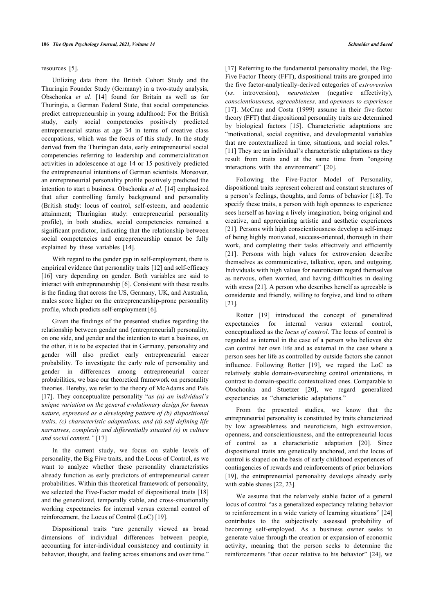#### resources[[5](#page-7-4)].

Utilizing data from the British Cohort Study and the Thuringia Founder Study (Germany) in a two-study analysis, Obschonka *et al.* [\[14\]](#page-8-3) found for Britain as well as for Thuringia, a German Federal State, that social competencies predict entrepreneurship in young adulthood: For the British study, early social competencies positively predicted entrepreneurial status at age 34 in terms of creative class occupations, which was the focus of this study. In the study derived from the Thuringian data, early entrepreneurial social competencies referring to leadership and commercialization activities in adolescence at age 14 or 15 positively predicted the entrepreneurial intentions of German scientists. Moreover, an entrepreneurial personality profile positively predicted the intention to start a business. Obschonka *et al.* [[14\]](#page-8-3) emphasized that after controlling family background and personality (British study: locus of control, self-esteem, and academic attainment; Thuringian study: entrepreneurial personality profile), in both studies, social competencies remained a significant predictor, indicating that the relationship between social competencies and entrepreneurship cannot be fully explained by these variables[[14\]](#page-8-3).

With regard to the gender gap in self-employment, there is empirical evidence that personality traits [[12\]](#page-8-1) and self-efficacy [[16\]](#page-8-5) vary depending on gender. Both variables are said to interact with entrepreneurship [[6](#page-7-5)]. Consistent with these results is the finding that across the US, Germany, UK, and Australia, males score higher on the entrepreneurship-prone personality profile, which predicts self-employment [\[6\]](#page-7-5).

Given the findings of the presented studies regarding the relationship between gender and (entrepreneurial) personality, on one side, and gender and the intention to start a business, on the other, it is to be expected that in Germany, personality and gender will also predict early entrepreneurial career probability. To investigate the early role of personality and gender in differences among entrepreneurial career probabilities, we base our theoretical framework on personality theories. Hereby, we refer to the theory of McAdams and Pals [[17\]](#page-8-6). They conceptualize personality "*as (a) an individual's unique variation on the general evolutionary design for human nature, expressed as a developing pattern of (b) dispositional traits, (c) characteristic adaptations, and (d) self-defining life narratives, complexly and differentially situated (e) in culture and social context."* [[17\]](#page-8-6)

In the current study, we focus on stable levels of personality, the Big Five traits, and the Locus of Control, as we want to analyze whether these personality characteristics already function as early predictors of entrepreneurial career probabilities. Within this theoretical framework of personality, we selected the Five-Factor model of dispositional traits [\[18](#page-8-7)] and the generalized, temporally stable, and cross-situationally working expectancies for internal versus external control of reinforcement, the Locus of Control (LoC) [[19\]](#page-8-8).

Dispositional traits "are generally viewed as broad dimensions of individual differences between people, accounting for inter-individual consistency and continuity in behavior, thought, and feeling across situations and over time."

[[17](#page-8-6)] Referring to the fundamental personality model, the Big-Five Factor Theory (FFT), dispositional traits are grouped into the five factor-analytically-derived categories of *extroversion* (*vs*. introversion), *neuroticism* (negative affectivity), *conscientiousness, agreeableness,* and *openness to experience* [[17](#page-8-6)]. McCrae and Costa (1999) assume in their five-factor theory (FFT) that dispositional personality traits are determined by biological factors [\[15\]](#page-8-4). Characteristic adaptations are "motivational, social cognitive, and developmental variables that are contextualized in time, situations, and social roles." [[11](#page-8-0)] They are an individual's characteristic adaptations as they result from traits and at the same time from "ongoing interactions with the environment" [\[20](#page-8-9)].

Following the Five-Factor Model of Personality, dispositional traits represent coherent and constant structures of a person's feelings, thoughts, and forms of behavior [[18](#page-8-7)]. To specify these traits, a person with high openness to experience sees herself as having a lively imagination, being original and creative, and appreciating artistic and aesthetic experiences [[21](#page-8-10)]. Persons with high conscientiousness develop a self-image of being highly motivated, success-oriented, thorough in their work, and completing their tasks effectively and efficiently [[21](#page-8-10)]. Persons with high values for extroversion describe themselves as communicative, talkative, open, and outgoing. Individuals with high values for neuroticism regard themselves as nervous, often worried, and having difficulties in dealing with stress [[21\]](#page-8-10). A person who describes herself as agreeable is considerate and friendly, willing to forgive, and kind to others [[21\]](#page-8-10).

Rotter[[19](#page-8-8)] introduced the concept of generalized expectancies for internal versus external control, conceptualized as the *locus of control*. The locus of control is regarded as internal in the case of a person who believes she can control her own life and as external in the case where a person sees her life as controlled by outside factors she cannot influence. Following Rotter[[19\]](#page-8-8), we regard the LoC as relatively stable domain-overarching control orientations, in contrast to domain-specific contextualized ones. Comparable to Obschonka and Stuetzer [\[20](#page-8-9)], we regard generalized expectancies as "characteristic adaptations."

From the presented studies, we know that the entrepreneurial personality is constituted by traits characterized by low agreeableness and neuroticism, high extroversion, openness, and conscientiousness, and the entrepreneurial locus of control as a characteristic adaptation [\[20](#page-8-9)]. Since dispositional traits are genetically anchored, and the locus of control is shaped on the basis of early childhood experiences of contingencies of rewards and reinforcements of prior behaviors [[19](#page-8-8)], the entrepreneurial personality develops already early with stable shares [\[22](#page-8-11), [23\]](#page-8-12).

We assume that the relatively stable factor of a general locus of control "as a generalized expectancy relating behavior to reinforcement in a wide variety of learning situations" [\[24\]](#page-8-13) contributes to the subjectively assessed probability of becoming self-employed. As a business owner seeks to generate value through the creation or expansion of economic activity, meaning that the person seeks to determine the reinforcements "that occur relative to his behavior" [\[24](#page-8-13)], we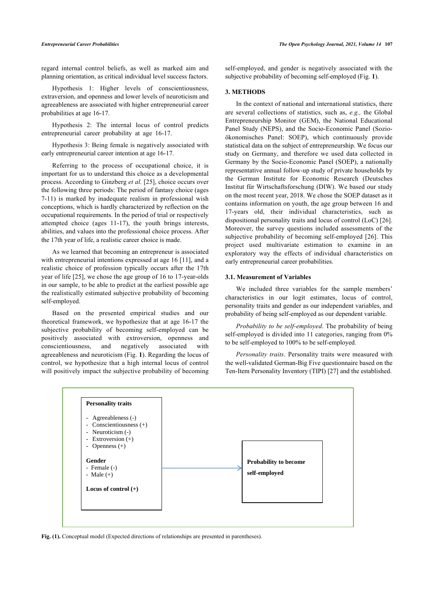regard internal control beliefs, as well as marked aim and planning orientation, as critical individual level success factors.

Hypothesis 1: Higher levels of conscientiousness, extraversion, and openness and lower levels of neuroticism and agreeableness are associated with higher entrepreneurial career probabilities at age 16-17.

Hypothesis 2: The internal locus of control predicts entrepreneurial career probability at age 16-17.

Hypothesis 3: Being female is negatively associated with early entrepreneurial career intention at age 16-17.

Referring to the process of occupational choice, it is important for us to understand this choice as a developmental process. According to Ginzberg *et al.* [\[25](#page-8-14)], choice occurs over the following three periods: The period of fantasy choice (ages 7-11) is marked by inadequate realism in professional wish conceptions, which is hardly characterized by reflection on the occupational requirements. In the period of trial or respectively attempted choice (ages 11-17), the youth brings interests, abilities, and values into the professional choice process. After the 17th year of life, a realistic career choice is made.

As we learned that becoming an entrepreneur is associated with entrepreneurial intentions expressed at age 16 [[11\]](#page-8-0), and a realistic choice of profession typically occurs after the 17th year of life [[25\]](#page-8-14), we chose the age group of 16 to 17-year-olds in our sample, to be able to predict at the earliest possible age the realistically estimated subjective probability of becoming self-employed.

Based on the presented empirical studies and our theoretical framework, we hypothesize that at age 16-17 the subjective probability of becoming self-employed can be positively associated with extroversion, openness and conscientiousness, and negatively associated with agreeableness and neuroticism (Fig. **[1](#page-3-0)**). Regarding the locus of control, we hypothesize that a high internal locus of control will positively impact the subjective probability of becoming self-employed, and gender is negatively associated with the subjective probability of becoming self-employed (Fig. **[1](#page-3-0)**).

# **3. METHODS**

In the context of national and international statistics, there are several collections of statistics, such as, *e.g.,* the Global Entrepreneurship Monitor (GEM), the National Educational Panel Study (NEPS), and the Socio-Economic Panel (Sozioökonomisches Panel: SOEP), which continuously provide statistical data on the subject of entrepreneurship. We focus our study on Germany, and therefore we used data collected in Germany by the Socio-Economic Panel (SOEP), a nationally representative annual follow-up study of private households by the German Institute for Economic Research (Deutsches Institut für Wirtschaftsforschung (DIW). We based our study on the most recent year, 2018. We chose the SOEP dataset as it contains information on youth, the age group between 16 and 17-years old, their individual characteristics, such as dispositional personality traits and locus of control (LoC) [\[26](#page-8-1)]. Moreover, the survey questions included assessments of the subjective probability of becoming self-employed [\[26](#page-8-1)]. This project used multivariate estimation to examine in an exploratory way the effects of individual characteristics on early entrepreneurial career probabilities.

#### **3.1. Measurement of Variables**

We included three variables for the sample members' characteristics in our logit estimates, locus of control, personality traits and gender as our independent variables, and probability of being self-employed as our dependent variable.

*Probability to be self-employed*. The probability of being self-employed is divided into 11 categories, ranging from 0% to be self-employed to 100% to be self-employed.

*Personality traits*. Personality traits were measured with the well-validated German-Big Five questionnaire based on the Ten-Item Personality Inventory (TIPI) [\[27](#page-8-15)] and the established.

<span id="page-3-0"></span>

Fig. (1). Conceptual model (Expected directions of relationships are presented in parentheses).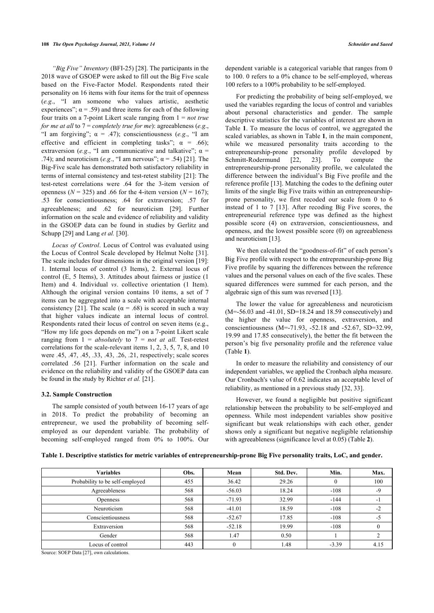*"Big Five" Inventory* (BFI-25) [[28\]](#page-8-16). The participants in the 2018 wave of GSOEP were asked to fill out the Big Five scale based on the Five-Factor Model. Respondents rated their personality on 16 items with four items for the trait of openness (*e.g*., "I am someone who values artistic, aesthetic experiences";  $\alpha$  = .59) and three items for each of the following four traits on a 7-point Likert scale ranging from 1 = *not true for me at all* to 7 = *completely true for me*): agreeableness (*e.g*., "I am forgiving";  $\alpha = .47$ ); conscientiousness (*e.g.*, "I am effective and efficient in completing tasks";  $\alpha = .66$ ); extraversion (*e.g.*, "I am communicative and talkative";  $\alpha$  = .74); and neuroticism (*e.g.*, "I am nervous";  $\alpha$  = .54) [\[21](#page-8-10)]. The Big-Five scale has demonstrated both satisfactory reliability in terms of internal consistency and test-retest stability [[21\]](#page-8-10): The test-retest correlations were .64 for the 3-item version of openness ( $N = 325$ ) and .66 for the 4-item version ( $N = 167$ ); .53 for conscientiousness; .64 for extraversion; .57 for agreeableness; and .62 for neuroticism[[29](#page-8-17)]. Further information on the scale and evidence of reliability and validity in the GSOEP data can be found in studies by Gerlitz and Schupp [[29\]](#page-8-17) and Lang *et al.* [\[30](#page-8-18)].

*Locus of Control*. Locus of Control was evaluated using the Locus of Control Scale developed by Helmut Nolte [[31\]](#page-8-19). The scale includes four dimensions in the original version [[19\]](#page-8-8): 1. Internal locus of control (3 Items), 2. External locus of control (E, 5 Items), 3. Attitudes about fairness or justice (1 Item) and 4. Individual *vs*. collective orientation (1 Item). Although the original version contains 10 items, a set of 7 items can be aggregated into a scale with acceptable internal consistency [[21\]](#page-8-10). The scale ( $\alpha$  = .68) is scored in such a way that higher values indicate an internal locus of control. Respondents rated their locus of control on seven items (e.g., "How my life goes depends on me") on a 7-point Likert scale ranging from  $1 = absolute \nu$  to  $7 = \nu \nu t$  *at all.* Test-retest correlations for the scale-relevant items 1, 2, 3, 5, 7, 8, and 10 were .45, .47, .45, .33, .43, .26, .21, respectively; scale scores correlated .56 [\[21\]](#page-8-10). Further information on the scale and evidence on the reliability and validity of the GSOEP data can be found in the study by Richter *et al.* [\[21](#page-8-10)].

# **3.2. Sample Construction**

The sample consisted of youth between 16-17 years of age in 2018. To predict the probability of becoming an entrepreneur, we used the probability of becoming selfemployed as our dependent variable. The probability of becoming self-employed ranged from 0% to 100%. Our dependent variable is a categorical variable that ranges from 0 to 100. 0 refers to a 0% chance to be self-employed, whereas 100 refers to a 100% probability to be self-employed.

For predicting the probability of being self-employed, we used the variables regarding the locus of control and variables about personal characteristics and gender. The sample descriptive statistics for the variables of interest are shown in Table **[1](#page-4-0)**. To measure the locus of control, we aggregated the scaled variables, as shown in Table **[1](#page-4-0)**, in the main component, while we measured personality traits according to the entrepreneurship-prone personality profile developed by<br>Schmitt-Rodermund [22, 23]. To compute the Schmitt-Rodermund[[22,](#page-8-11) [23\]](#page-8-12). To compute the entrepreneurship-prone personality profile, we calculated the difference between the individual's Big Five profile and the reference profile [[13\]](#page-8-2). Matching the codes to the defining outer limits of the single Big Five traits within an entrepreneurshipprone personality, we first recoded our scale from 0 to 6 instead of 1 to 7[[13](#page-8-2)]. After recoding Big Five scores, the entrepreneurial reference type was defined as the highest possible score (4) on extraversion, conscientiousness, and openness, and the lowest possible score (0) on agreeableness and neuroticism [[13\]](#page-8-2).

We then calculated the "goodness-of-fit" of each person's Big Five profile with respect to the entrepreneurship-prone Big Five profile by squaring the differences between the reference values and the personal values on each of the five scales. These squared differences were summed for each person, and the algebraic sign of this sum was reversed [[13\]](#page-8-2).

The lower the value for agreeableness and neuroticism (M=-56.03 and -41.01, SD=18.24 and 18.59 consecutively) and the higher the value for openness, extraversion, and conscientiousness (M=-71.93, -52.18 and -52.67, SD=32.99, 19.99 and 17.85 consecutively), the better the fit between the person's big five personality profile and the reference value (Table **[1](#page-4-0)**).

In order to measure the reliability and consistency of our independent variables, we applied the Cronbach alpha measure. Our Cronbach's value of 0.62 indicates an acceptable level of reliability, as mentioned in a previous study [[32,](#page-8-20) [33](#page-8-21)].

However, we found a negligible but positive significant relationship between the probability to be self-employed and openness. While most independent variables show positive significant but weak relationships with each other, gender shows only a significant but negative negligible relationship with agreeableness (significance level at 0.05) (Table **[2](#page-5-0)**).

<span id="page-4-0"></span>**Table 1. Descriptive statistics for metric variables of entrepreneurship-prone Big Five personality traits, LoC, and gender.**

| <b>Variables</b>                | Obs. | Mean     | Std. Dev. | Min.    | Max. |
|---------------------------------|------|----------|-----------|---------|------|
| Probability to be self-employed | 455  | 36.42    | 29.26     |         | 100  |
| Agreeableness                   | 568  | $-56.03$ | 18.24     | $-108$  | $-9$ |
| Openness                        | 568  | $-71.93$ | 32.99     | $-144$  | -1   |
| Neuroticism                     | 568  | $-41.01$ | 18.59     | $-108$  | $-2$ |
| Conscientiousness               | 568  | $-52.67$ | 17.85     | $-108$  |      |
| Extraversion                    | 568  | $-52.18$ | 19.99     | $-108$  |      |
| Gender                          | 568  | 1.47     | 0.50      |         |      |
| Locus of control                | 443  |          | 1.48      | $-3.39$ | 4.15 |

Source: SOEP Data [[27\]](#page-8-15), own calculations.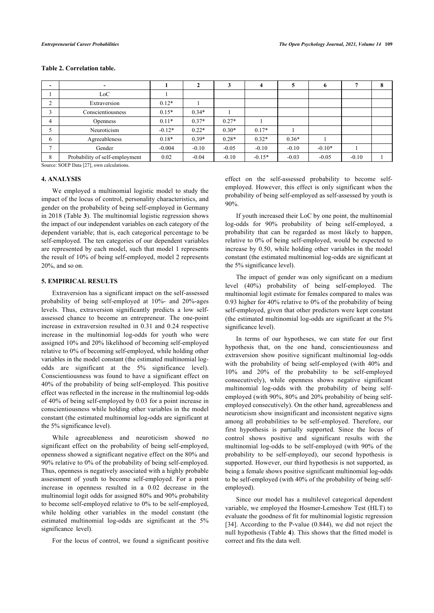<span id="page-5-0"></span>

|  |  |  | <b>Table 2. Correlation table.</b> |  |
|--|--|--|------------------------------------|--|
|--|--|--|------------------------------------|--|

|                                | $\overline{\phantom{0}}$       |          |         |         | 4        | $\mathbf{c}$ | $\mathbf o$ |         |  |
|--------------------------------|--------------------------------|----------|---------|---------|----------|--------------|-------------|---------|--|
|                                | LoC                            |          |         |         |          |              |             |         |  |
| $\sim$<br>∠                    | Extraversion                   | $0.12*$  |         |         |          |              |             |         |  |
|                                | Conscientiousness              | $0.15*$  | $0.34*$ |         |          |              |             |         |  |
| 4                              | <b>Openness</b>                | $0.11*$  | $0.37*$ | $0.27*$ |          |              |             |         |  |
|                                | Neuroticism                    | $-0.12*$ | $0.22*$ | $0.30*$ | $0.17*$  |              |             |         |  |
| 6                              | Agreeableness                  | $0.18*$  | $0.39*$ | $0.28*$ | $0.32*$  | $0.36*$      |             |         |  |
| $\mathbf{r}$                   | Gender                         | $-0.004$ | $-0.10$ | $-0.05$ | $-0.10$  | $-0.10$      | $-0.10*$    |         |  |
| 8                              | Probability of self-employment | 0.02     | $-0.04$ | $-0.10$ | $-0.15*$ | $-0.03$      | $-0.05$     | $-0.10$ |  |
| $0 \dots 0$ $0 \in \mathbb{R}$ |                                |          |         |         |          |              |             |         |  |

Source: SOEP Data [[27\]](#page-8-15), own calculations.

#### **4. ANALYSIS**

We employed a multinomial logistic model to study the impact of the locus of control, personality characteristics, and gender on the probability of being self-employed in Germany in 2018 (Table **[3](#page-5-1)**). The multinomial logistic regression shows the impact of our independent variables on each category of the dependent variable; that is, each categorical percentage to be self-employed. The ten categories of our dependent variables are represented by each model, such that model 1 represents the result of 10% of being self-employed, model 2 represents 20%, and so on.

# **5. EMPIRICAL RESULTS**

Extraversion has a significant impact on the self-assessed probability of being self-employed at 10%- and 20%-ages levels. Thus, extraversion significantly predicts a low selfassessed chance to become an entrepreneur. The one-point increase in extraversion resulted in 0.31 and 0.24 respective increase in the multinomial log-odds for youth who were assigned 10% and 20% likelihood of becoming self-employed relative to 0% of becoming self-employed, while holding other variables in the model constant (the estimated multinomial logodds are significant at the 5% significance level). Conscientiousness was found to have a significant effect on 40% of the probability of being self-employed. This positive effect was reflected in the increase in the multinomial log-odds of 40% of being self-employed by 0.03 for a point increase in conscientiousness while holding other variables in the model constant (the estimated multinomial log-odds are significant at the 5% significance level).

While agreeableness and neuroticism showed no significant effect on the probability of being self-employed, openness showed a significant negative effect on the 80% and 90% relative to 0% of the probability of being self-employed. Thus, openness is negatively associated with a highly probable assessment of youth to become self-employed. For a point increase in openness resulted in a 0.02 decrease in the multinomial logit odds for assigned 80% and 90% probability to become self-employed relative to 0% to be self-employed, while holding other variables in the model constant (the estimated multinomial log-odds are significant at the 5% significance level).

<span id="page-5-1"></span>For the locus of control, we found a significant positive

effect on the self-assessed probability to become selfemployed. However, this effect is only significant when the probability of being self-employed as self-assessed by youth is 90%.

If youth increased their LoC by one point, the multinomial log-odds for 90% probability of being self-employed, a probability that can be regarded as most likely to happen, relative to 0% of being self-employed, would be expected to increase by 0.50, while holding other variables in the model constant (the estimated multinomial log-odds are significant at the 5% significance level).

The impact of gender was only significant on a medium level (40%) probability of being self-employed. The multinomial logit estimate for females compared to males was 0.93 higher for 40% relative to 0% of the probability of being self-employed, given that other predictors were kept constant (the estimated multinomial log-odds are significant at the 5% significance level).

In terms of our hypotheses, we can state for our first hypothesis that, on the one hand, conscientiousness and extraversion show positive significant multinomial log-odds with the probability of being self-employed (with 40% and 10% and 20% of the probability to be self-employed consecutively), while openness shows negative significant multinomial log-odds with the probability of being selfemployed (with 90%, 80% and 20% probability of being selfemployed consecutively). On the other hand, agreeableness and neuroticism show insignificant and inconsistent negative signs among all probabilities to be self-employed. Therefore, our first hypothesis is partially supported. Since the locus of control shows positive and significant results with the multinomial log-odds to be self-employed (with 90% of the probability to be self-employed), our second hypothesis is supported. However, our third hypothesis is not supported, as being a female shows positive significant multinomial log-odds to be self-employed (with 40% of the probability of being selfemployed).

Since our model has a multilevel categorical dependent variable, we employed the Hosmer-Lemeshow Test (HLT) to evaluate the goodness of fit for multinomial logistic regression [[34](#page-8-9)]. According to the P-value (0.844), we did not reject the null hypothesis (Table **[4](#page-6-0)**). This shows that the fitted model is correct and fits the data well.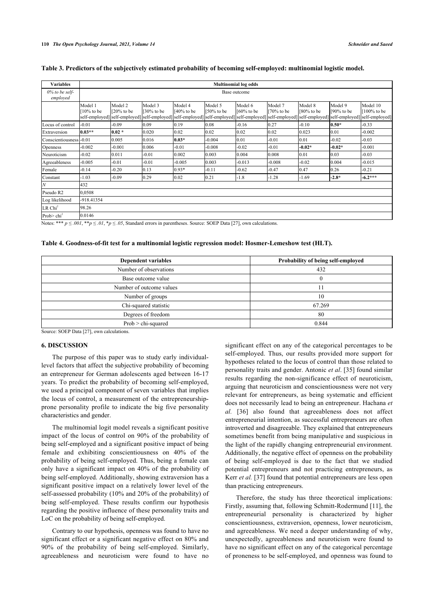| <b>Variables</b>              | <b>Multinomial log odds</b>               |                                                                         |                             |                         |                                            |                                                         |                         |                                         |                          |                                                             |
|-------------------------------|-------------------------------------------|-------------------------------------------------------------------------|-----------------------------|-------------------------|--------------------------------------------|---------------------------------------------------------|-------------------------|-----------------------------------------|--------------------------|-------------------------------------------------------------|
| $0\%$ to be self-<br>employed | Base outcome                              |                                                                         |                             |                         |                                            |                                                         |                         |                                         |                          |                                                             |
|                               | Model 1<br>$10\%$ to be<br>self-employed] | Model 2<br>$120\%$ to be<br>self-employed] self-employed] self-employed | Model 3<br>$\int$ 30% to be | Model 4<br>$140%$ to be | Model 5<br>$150\%$ to be<br>self-employed] | Model 6<br>$[60%$ to be<br>self-employed] self-employed | Model 7<br>$170%$ to be | Model 8<br>180% to be<br>self-employed] | Model 9<br>$[90\%$ to be | Model 10<br>$[100\%$ to be<br>self-employed] self-employed] |
| Locus of control              | $-0.01$                                   | $-0.09$                                                                 | 0.09                        | 0.19                    | 0.08                                       | $-0.16$                                                 | 0.27                    | $-0.10$                                 | $0.50*$                  | $-0.33$                                                     |
| Extraversion                  | $10.03**$                                 | $0.02 *$                                                                | 0.020                       | 0.02                    | 0.02                                       | 0.02                                                    | 0.02                    | 0.023                                   | 0.01                     | $-0.002$                                                    |
| Conscientiousness             | $-0.01$                                   | 0.005                                                                   | 0.016                       | $0.03*$                 | $-0.004$                                   | 0.01                                                    | $-0.01$                 | 0.01                                    | $-0.02$                  | $-0.03$                                                     |
| Openness                      | $-0.002$                                  | $-0.001$                                                                | 0.006                       | $-0.01$                 | $-0.008$                                   | $-0.02$                                                 | $-0.01$                 | $-0.02*$                                | $-0.02*$                 | $-0.001$                                                    |
| Neuroticism                   | $-0.02$                                   | 0.011                                                                   | $-0.01$                     | 0.002                   | 0.003                                      | 0.004                                                   | 0.008                   | 0.01                                    | 0.03                     | $-0.03$                                                     |
| Agreeableness                 | $-0.005$                                  | $-0.01$                                                                 | $-0.01$                     | $-0.005$                | 0.003                                      | $-0.013$                                                | $-0.008$                | $-0.02$                                 | 0.004                    | $-0.015$                                                    |
| Female                        | $-0.14$                                   | $-0.20$                                                                 | 0.13                        | $0.93*$                 | $-0.11$                                    | $-0.62$                                                 | $-0.47$                 | 0.47                                    | 0.26                     | $-0.21$                                                     |
| Constant                      | $-1.03$                                   | $-0.09$                                                                 | 0.29                        | 0.02                    | 0.21                                       | $-1.8$                                                  | $-1.28$                 | -1.69                                   | $-2.8*$                  | $-6.2***$                                                   |
| $\overline{N}$                | 432                                       |                                                                         |                             |                         |                                            |                                                         |                         |                                         |                          |                                                             |
| Pseudo R2                     | 0,0508                                    |                                                                         |                             |                         |                                            |                                                         |                         |                                         |                          |                                                             |
| Log likelihood                | -918.41354                                |                                                                         |                             |                         |                                            |                                                         |                         |                                         |                          |                                                             |
| LR Chi <sup>2</sup>           | 98.26                                     |                                                                         |                             |                         |                                            |                                                         |                         |                                         |                          |                                                             |
| Prob> $chi^2$                 | 0.0146                                    |                                                                         |                             |                         |                                            |                                                         |                         |                                         |                          |                                                             |

#### **Table 3. Predictors of the subjectively estimated probability of becoming self-employed: multinomial logistic model.**

Notes: \*\*\*  $p \le 0.01$ , \*\* $p \le 0.01$ , \* $p \le 0.05$ , Standard errors in parentheses. Source: SOEP Data [[27\]](#page-8-15), own calculations.

#### <span id="page-6-0"></span>**Table 4. Goodness-of-fit test for a multinomial logistic regression model: Hosmer-Lemeshow test (HLT).**

| <b>Dependent variables</b> | Probability of being self-employed |  |  |  |
|----------------------------|------------------------------------|--|--|--|
| Number of observations     | 432                                |  |  |  |
| Base outcome value         |                                    |  |  |  |
| Number of outcome values   |                                    |  |  |  |
| Number of groups           | 10                                 |  |  |  |
| Chi-squared statistic      | 67.269                             |  |  |  |
| Degrees of freedom         | 80                                 |  |  |  |
| $Prob > chi-squared$       | 0.844                              |  |  |  |

Source: SOEP Data [[27\]](#page-8-15), own calculations.

#### **6. DISCUSSION**

The purpose of this paper was to study early individuallevel factors that affect the subjective probability of becoming an entrepreneur for German adolescents aged between 16-17 years. To predict the probability of becoming self-employed, we used a principal component of seven variables that implies the locus of control, a measurement of the entrepreneurshipprone personality profile to indicate the big five personality characteristics and gender.

The multinomial logit model reveals a significant positive impact of the locus of control on 90% of the probability of being self-employed and a significant positive impact of being female and exhibiting conscientiousness on 40% of the probability of being self-employed. Thus, being a female can only have a significant impact on 40% of the probability of being self-employed. Additionally, showing extraversion has a significant positive impact on a relatively lower level of the self-assessed probability (10% and 20% of the probability) of being self-employed. These results confirm our hypothesis regarding the positive influence of these personality traits and LoC on the probability of being self-employed.

Contrary to our hypothesis, openness was found to have no significant effect or a significant negative effect on 80% and 90% of the probability of being self-employed. Similarly, agreeableness and neuroticism were found to have no significant effect on any of the categorical percentages to be self-employed. Thus, our results provided more support for hypotheses related to the locus of control than those related to personality traits and gender. Antonic *et al*. [[35\]](#page-8-10) found similar results regarding the non-significance effect of neuroticism, arguing that neuroticism and conscientiousness were not very relevant for entrepreneurs, as being systematic and efficient does not necessarily lead to being an entrepreneur. Hachana *et al.* [\[36\]](#page-8-22) also found that agreeableness does not affect entrepreneurial intention, as successful entrepreneurs are often introverted and disagreeable. They explained that entrepreneurs sometimes benefit from being manipulative and suspicious in the light of the rapidly changing entrepreneurial environment. Additionally, the negative effect of openness on the probability of being self-employed is due to the fact that we studied potential entrepreneurs and not practicing entrepreneurs, as Kerr *et al.* [[37\]](#page-8-23) found that potential entrepreneurs are less open than practicing entrepreneurs.

Therefore, the study has three theoretical implications: Firstly, assuming that, following Schmitt-Rodermund [[11\]](#page-8-0), the entrepreneurial personality is characterized by higher conscientiousness, extraversion, openness, lower neuroticism, and agreeableness. We need a deeper understanding of why, unexpectedly, agreeableness and neuroticism were found to have no significant effect on any of the categorical percentage of proneness to be self-employed, and openness was found to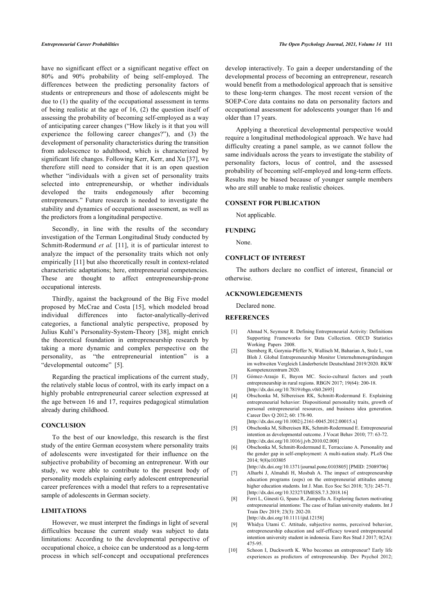have no significant effect or a significant negative effect on 80% and 90% probability of being self-employed. The differences between the predicting personality factors of students or entrepreneurs and those of adolescents might be due to (1) the quality of the occupational assessment in terms of being realistic at the age of 16, (2) the question itself of assessing the probability of becoming self-employed as a way of anticipating career changes ("How likely is it that you will experience the following career changes?"), and (3) the development of personality characteristics during the transition from adolescence to adulthood, which is characterized by significant life changes. Following Kerr, Kerr, and Xu [\[37](#page-8-23)], we therefore still need to consider that it is an open question whether "individuals with a given set of personality traits selected into entrepreneurship, or whether individuals developed the traits endogenously after becoming entrepreneurs." Future research is needed to investigate the stability and dynamics of occupational assessment, as well as the predictors from a longitudinal perspective.

Secondly, in line with the results of the secondary investigation of the Terman Longitudinal Study conducted by Schmitt-Rodermund *et al.* [[11\]](#page-8-0), it is of particular interest to analyze the impact of the personality traits which not only empirically [[11](#page-8-0)] but also theoretically result in context-related characteristic adaptations; here, entrepreneurial competencies. These are thought to affect entrepreneurship-prone occupational interests.

<span id="page-7-0"></span>Thirdly, against the background of the Big Five model proposed by McCrae and Costa [\[15\]](#page-8-4), which modeled broad individual differences into factor-analytically-derived categories, a functional analytic perspective, proposed by Julius Kuhl's Personality-System-Theory [\[38\]](#page-8-24), might enrich the theoretical foundation in entrepreneurship research by taking a more dynamic and complex perspective on the personality, as "the entrepreneurial intention" is a "developmental outcome" [\[5\]](#page-7-4).

<span id="page-7-3"></span><span id="page-7-2"></span><span id="page-7-1"></span>Regarding the practical implications of the current study, the relatively stable locus of control, with its early impact on a highly probable entrepreneurial career selection expressed at the age between 16 and 17, requires pedagogical stimulation already during childhood.

# <span id="page-7-4"></span>**CONCLUSION**

<span id="page-7-6"></span><span id="page-7-5"></span>To the best of our knowledge, this research is the first study of the entire German ecosystem where personality traits of adolescents were investigated for their influence on the subjective probability of becoming an entrepreneur. With our study, we were able to contribute to the present body of personality models explaining early adolescent entrepreneurial career preferences with a model that refers to a representative sample of adolescents in German society.

# **LIMITATIONS**

<span id="page-7-7"></span>However, we must interpret the findings in light of several difficulties because the current study was subject to data limitations: According to the developmental perspective of occupational choice, a choice can be understood as a long-term process in which self-concept and occupational preferences

develop interactively. To gain a deeper understanding of the developmental process of becoming an entrepreneur, research would benefit from a methodological approach that is sensitive to these long-term changes. The most recent version of the SOEP-Core data contains no data on personality factors and occupational assessment for adolescents younger than 16 and older than 17 years.

Applying a theoretical developmental perspective would require a longitudinal methodological approach. We have had difficulty creating a panel sample, as we cannot follow the same individuals across the years to investigate the stability of personality factors, locus of control, and the assessed probability of becoming self-employed and long-term effects. Results may be biased because of younger sample members who are still unable to make realistic choices.

# **CONSENT FOR PUBLICATION**

Not applicable.

#### **FUNDING**

None.

# **CONFLICT OF INTEREST**

The authors declare no conflict of interest, financial or otherwise.

#### **ACKNOWLEDGEMENTS**

Declared none.

#### **REFERENCES**

- [1] Ahmad N, Seymour R. Defining Entrepreneurial Activity: Definitions Supporting Frameworks for Data Collection. OECD Statistics Working Papers 2008.
- [2] Sternberg R, Gorynia-Pfeffer N, Wallisch M, Baharian A, Stolz L, von Bloh J. Global Entrepreneurship Monitor Unternehmensgründungen im weltweiten Vergleich Länderbericht Deutschland 2019/2020. RKW Kompetenzzentrum 2020.
- [3] Gómez-Araujo E, Bayon MC. Socio-cultural factors and youth entrepreneurship in rural regions. RBGN 2017; 19(64): 200-18. [\[http://dx.doi.org/10.7819/rbgn.v0i0.2695](http://dx.doi.org/10.7819/rbgn.v0i0.2695)]
- [4] Obschonka M, Silbereisen RK, Schmitt-Rodermund E. Explaining entrepreneurial behavior: Dispositional personality traits, growth of personal entrepreneurial resources, and business idea generation. Career Dev Q 2012; 60: 178-90.
	- [\[http://dx.doi.org/10.1002/j.2161-0045.2012.00015.x\]](http://dx.doi.org/10.1002/j.2161-0045.2012.00015.x)
- [5] Obschonka M, Silbereisen RK, Schmitt-Rodermund E. Entrepreneurial intention as developmental outcome. J Vocat Behav 2010; 77: 63-72. [\[http://dx.doi.org/10.1016/j.jvb.2010.02.008\]](http://dx.doi.org/10.1016/j.jvb.2010.02.008)
- [6] Obschonka M, Schmitt-Rodermund E, Terracciano A. Personality and the gender gap in self-employment: A multi-nation study. PLoS One 2014; 9(8)e103805

[\[http://dx.doi.org/10.1371/journal.pone.0103805\]](http://dx.doi.org/10.1371/journal.pone.0103805) [PMID: [25089706\]](http://www.ncbi.nlm.nih.gov/pubmed/25089706)

- [7] Alharbi J, Almahdi H, Mosbah A. The impact of entrepreneurship education programs (eeps) on the entrepreneurial attitudes among higher education students. Int J. Man. Eco Soc Sci 2018; 7(3): 245-71. [\[http://dx.doi.org/10.32327/IJMESS.7.3.2018.16](http://dx.doi.org/10.32327/IJMESS.7.3.2018.16)]
- [8] Ferri L, Ginesti G, Spano R, Zampella A. Exploring factors motivating entrepreneurial intentions: The case of Italian university students. Int J Train Dev 2019; 23(3): 202-20. [\[http://dx.doi.org/10.1111/ijtd.12158](http://dx.doi.org/10.1111/ijtd.12158)]
- [9] Whidya Utami C. Attitude, subjective norms, perceived behavior, entrepreneurship education and self-efficacy toward entrepreneurial intention university student in indonesia. Euro Res Stud J 2017; 0(2A): 475-95.
- [10] Schoon I, Duckworth K. Who becomes an entrepreneur? Early life experiences as predictors of entrepreneurship. Dev Psychol 2012;